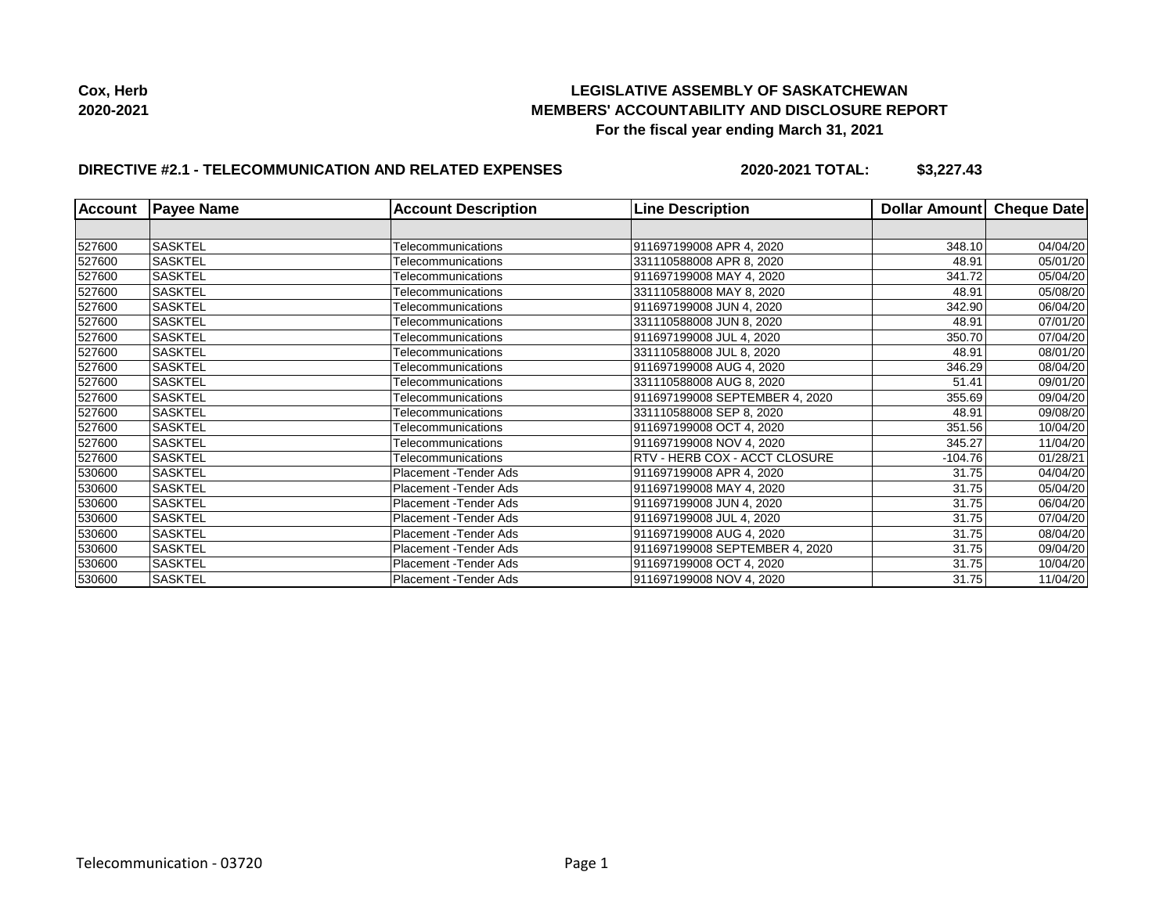

## **DIRECTIVE #2.1 - TELECOMMUNICATION AND RELATED EXPENSES**

**2020-2021 TOTAL: \$3,227.43**

| <b>Account</b> | <b>Payee Name</b> | <b>Account Description</b> | <b>Line Description</b>              | Dollar Amount | Cheque Date |
|----------------|-------------------|----------------------------|--------------------------------------|---------------|-------------|
|                |                   |                            |                                      |               |             |
| 527600         | <b>SASKTEL</b>    | Telecommunications         | 911697199008 APR 4, 2020             | 348.10        | 04/04/20    |
| 527600         | <b>SASKTEL</b>    | Telecommunications         | 331110588008 APR 8, 2020             | 48.91         | 05/01/20    |
| 527600         | <b>SASKTEL</b>    | Telecommunications         | 911697199008 MAY 4, 2020             | 341.72        | 05/04/20    |
| 527600         | <b>SASKTEL</b>    | Telecommunications         | 331110588008 MAY 8, 2020             | 48.91         | 05/08/20    |
| 527600         | <b>SASKTEL</b>    | Telecommunications         | 911697199008 JUN 4, 2020             | 342.90        | 06/04/20    |
| 527600         | <b>SASKTEL</b>    | Telecommunications         | 331110588008 JUN 8, 2020             | 48.91         | 07/01/20    |
| 527600         | <b>SASKTEL</b>    | Telecommunications         | 911697199008 JUL 4, 2020             | 350.70        | 07/04/20    |
| 527600         | <b>SASKTEL</b>    | Telecommunications         | 331110588008 JUL 8, 2020             | 48.91         | 08/01/20    |
| 527600         | <b>SASKTEL</b>    | Telecommunications         | 911697199008 AUG 4, 2020             | 346.29        | 08/04/20    |
| 527600         | <b>SASKTEL</b>    | Telecommunications         | 331110588008 AUG 8, 2020             | 51.41         | 09/01/20    |
| 527600         | <b>SASKTEL</b>    | Telecommunications         | 911697199008 SEPTEMBER 4, 2020       | 355.69        | 09/04/20    |
| 527600         | <b>SASKTEL</b>    | Telecommunications         | 331110588008 SEP 8, 2020             | 48.91         | 09/08/20    |
| 527600         | <b>SASKTEL</b>    | Telecommunications         | 911697199008 OCT 4, 2020             | 351.56        | 10/04/20    |
| 527600         | <b>SASKTEL</b>    | Telecommunications         | 911697199008 NOV 4, 2020             | 345.27        | 11/04/20    |
| 527600         | <b>SASKTEL</b>    | Telecommunications         | <b>RTV - HERB COX - ACCT CLOSURE</b> | $-104.76$     | 01/28/21    |
| 530600         | <b>SASKTEL</b>    | Placement -Tender Ads      | 911697199008 APR 4, 2020             | 31.75         | 04/04/20    |
| 530600         | <b>SASKTEL</b>    | Placement - Tender Ads     | 911697199008 MAY 4, 2020             | 31.75         | 05/04/20    |
| 530600         | <b>SASKTEL</b>    | Placement - Tender Ads     | 911697199008 JUN 4, 2020             | 31.75         | 06/04/20    |
| 530600         | <b>SASKTEL</b>    | Placement - Tender Ads     | 911697199008 JUL 4, 2020             | 31.75         | 07/04/20    |
| 530600         | <b>SASKTEL</b>    | Placement - Tender Ads     | 911697199008 AUG 4, 2020             | 31.75         | 08/04/20    |
| 530600         | <b>SASKTEL</b>    | Placement - Tender Ads     | 911697199008 SEPTEMBER 4, 2020       | 31.75         | 09/04/20    |
| 530600         | <b>SASKTEL</b>    | Placement - Tender Ads     | 911697199008 OCT 4, 2020             | 31.75         | 10/04/20    |
| 530600         | <b>SASKTEL</b>    | Placement - Tender Ads     | 911697199008 NOV 4, 2020             | 31.75         | 11/04/20    |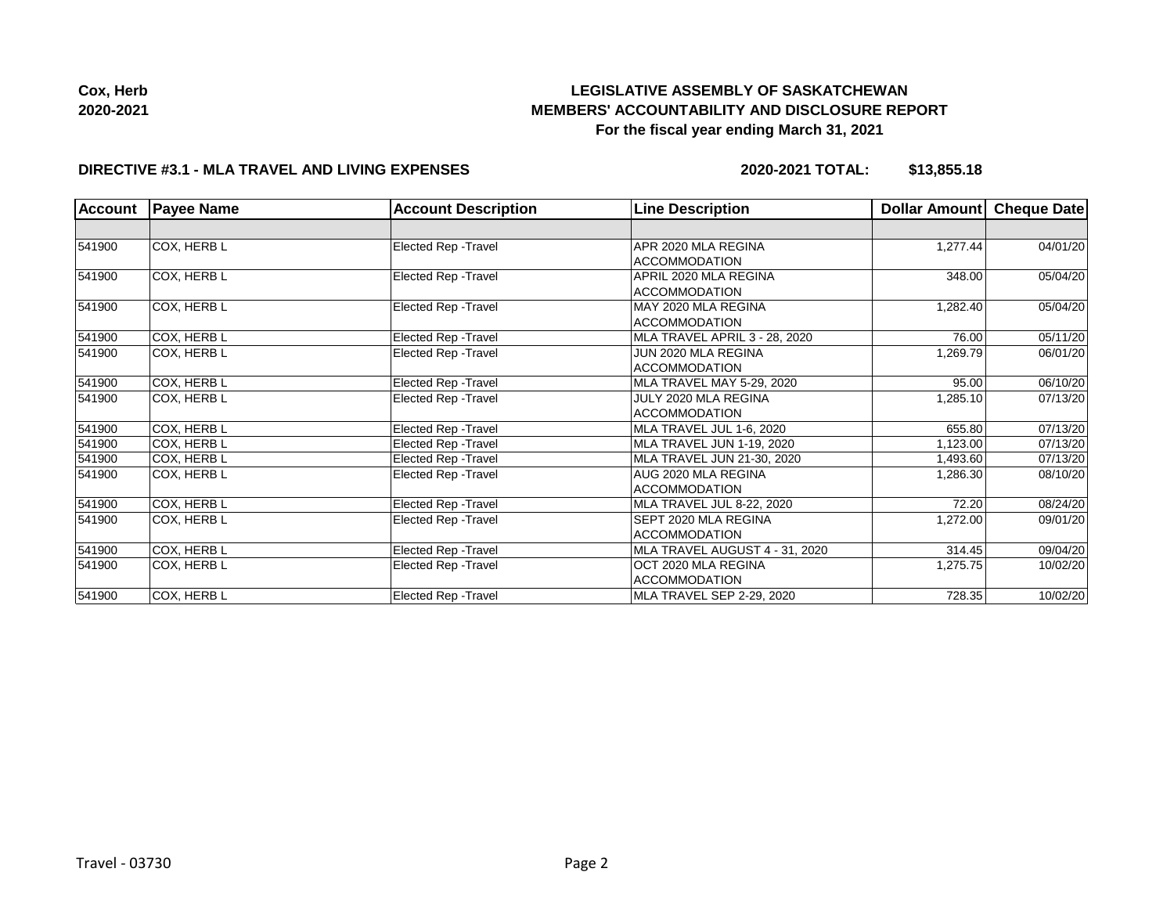

**Cox, Herb 2020-2021**

# **LEGISLATIVE ASSEMBLY OF SASKATCHEWAN MEMBERS' ACCOUNTABILITY AND DISCLOSURE REPORT For the fiscal year ending March 31, 2021**

## **DIRECTIVE #3.1 - MLA TRAVEL AND LIVING EXPENSES**

**2020-2021 TOTAL: \$13,855.18**

| <b>Account</b> | <b>Payee Name</b> | <b>Account Description</b>  | <b>Line Description</b>          | Dollar Amount | Cheque Date |
|----------------|-------------------|-----------------------------|----------------------------------|---------------|-------------|
|                |                   |                             |                                  |               |             |
| 541900         | COX, HERB L       | Elected Rep - Travel        | APR 2020 MLA REGINA              | 1,277.44      | 04/01/20    |
|                |                   |                             | <b>ACCOMMODATION</b>             |               |             |
| 541900         | COX, HERB L       | Elected Rep - Travel        | APRIL 2020 MLA REGINA            | 348.00        | 05/04/20    |
|                |                   |                             | <b>ACCOMMODATION</b>             |               |             |
| 541900         | COX, HERB L       | <b>Elected Rep - Travel</b> | MAY 2020 MLA REGINA              | 1,282.40      | 05/04/20    |
|                |                   |                             | <b>ACCOMMODATION</b>             |               |             |
| 541900         | COX, HERB L       | Elected Rep - Travel        | MLA TRAVEL APRIL 3 - 28, 2020    | 76.00         | 05/11/20    |
| 541900         | COX, HERB L       | Elected Rep - Travel        | JUN 2020 MLA REGINA              | 1,269.79      | 06/01/20    |
|                |                   |                             | <b>ACCOMMODATION</b>             |               |             |
| 541900         | COX, HERB L       | <b>Elected Rep - Travel</b> | MLA TRAVEL MAY 5-29, 2020        | 95.00         | 06/10/20    |
| 541900         | COX, HERB L       | Elected Rep - Travel        | JULY 2020 MLA REGINA             | 1,285.10      | 07/13/20    |
|                |                   |                             | <b>ACCOMMODATION</b>             |               |             |
| 541900         | COX, HERB L       | Elected Rep - Travel        | MLA TRAVEL JUL 1-6, 2020         | 655.80        | 07/13/20    |
| 541900         | COX, HERB L       | Elected Rep - Travel        | MLA TRAVEL JUN 1-19, 2020        | 1,123.00      | 07/13/20    |
| 541900         | COX, HERB L       | Elected Rep - Travel        | MLA TRAVEL JUN 21-30, 2020       | 1,493.60      | 07/13/20    |
| 541900         | COX, HERB L       | Elected Rep - Travel        | AUG 2020 MLA REGINA              | 1,286.30      | 08/10/20    |
|                |                   |                             | <b>ACCOMMODATION</b>             |               |             |
| 541900         | COX, HERB L       | Elected Rep - Travel        | <b>MLA TRAVEL JUL 8-22, 2020</b> | 72.20         | 08/24/20    |
| 541900         | COX, HERB L       | <b>Elected Rep - Travel</b> | SEPT 2020 MLA REGINA             | 1,272.00      | 09/01/20    |
|                |                   |                             | <b>ACCOMMODATION</b>             |               |             |
| 541900         | COX, HERB L       | Elected Rep - Travel        | MLA TRAVEL AUGUST 4 - 31, 2020   | 314.45        | 09/04/20    |
| 541900         | COX, HERB L       | Elected Rep - Travel        | OCT 2020 MLA REGINA              | 1,275.75      | 10/02/20    |
|                |                   |                             | <b>ACCOMMODATION</b>             |               |             |
| 541900         | COX, HERB L       | <b>Elected Rep - Travel</b> | MLA TRAVEL SEP 2-29, 2020        | 728.35        | 10/02/20    |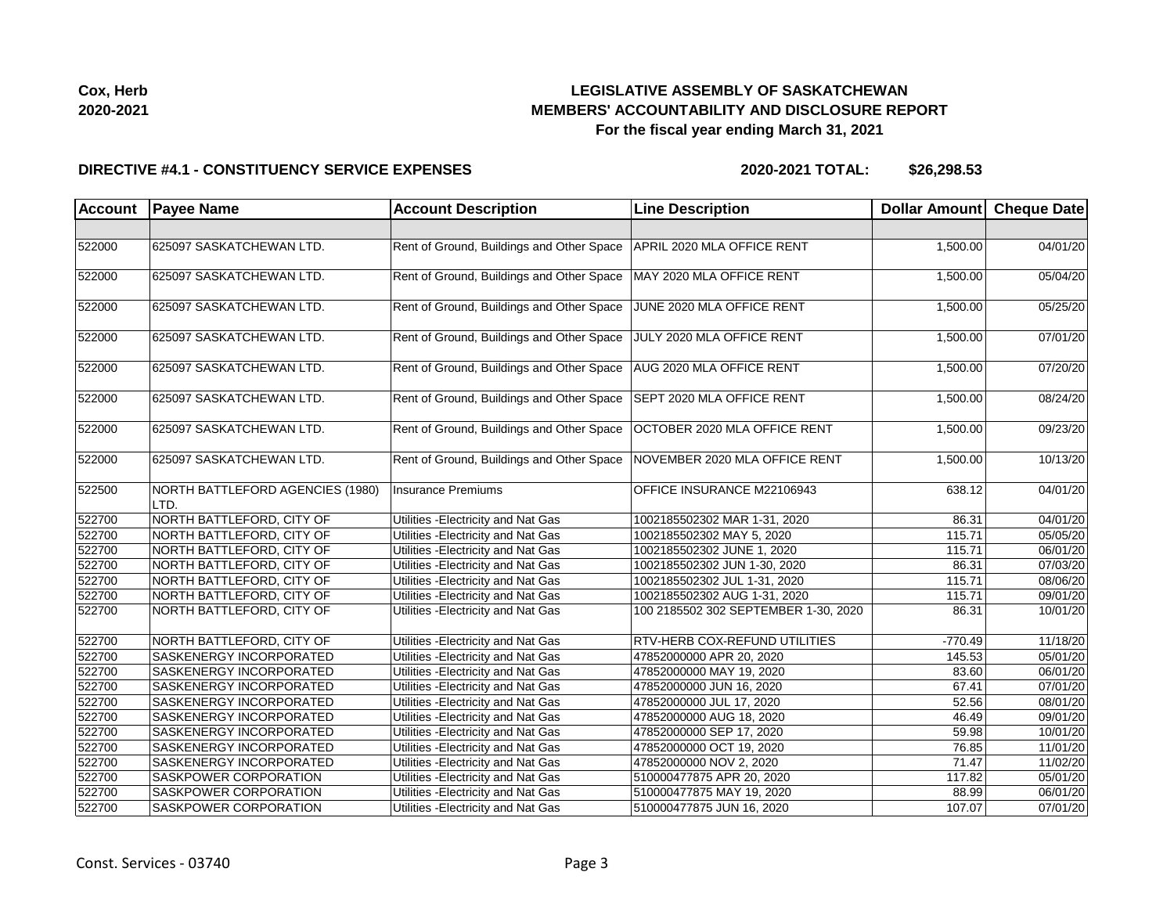**Cox, Herb 2020-2021**

## **LEGISLATIVE ASSEMBLY OF SASKATCHEWAN MEMBERS' ACCOUNTABILITY AND DISCLOSURE REPORT For the fiscal year ending March 31, 2021**

#### **DIRECTIVE #4.1 - CONSTITUENCY SERVICE EXPENSES**

**2020-2021 TOTAL: \$26,298.53**

| <b>Account</b> | <b>Payee Name</b>                        | <b>Account Description</b>                | <b>Line Description</b>              | Dollar Amount Cheque Date |                       |
|----------------|------------------------------------------|-------------------------------------------|--------------------------------------|---------------------------|-----------------------|
|                |                                          |                                           |                                      |                           |                       |
| 522000         | 625097 SASKATCHEWAN LTD.                 | Rent of Ground, Buildings and Other Space | APRIL 2020 MLA OFFICE RENT           | 1,500.00                  | 04/01/20              |
| 522000         | 625097 SASKATCHEWAN LTD.                 | Rent of Ground, Buildings and Other Space | MAY 2020 MLA OFFICE RENT             | 1,500.00                  | 05/04/20              |
| 522000         | 625097 SASKATCHEWAN LTD.                 | Rent of Ground, Buildings and Other Space | JUNE 2020 MLA OFFICE RENT            | 1,500.00                  | 05/25/20              |
| 522000         | 625097 SASKATCHEWAN LTD.                 | Rent of Ground, Buildings and Other Space | JULY 2020 MLA OFFICE RENT            | 1,500.00                  | 07/01/20              |
| 522000         | 625097 SASKATCHEWAN LTD.                 | Rent of Ground, Buildings and Other Space | AUG 2020 MLA OFFICE RENT             | 1,500.00                  | 07/20/20              |
| 522000         | 625097 SASKATCHEWAN LTD.                 | Rent of Ground, Buildings and Other Space | SEPT 2020 MLA OFFICE RENT            | 1,500.00                  | 08/24/20              |
| 522000         | 625097 SASKATCHEWAN LTD.                 | Rent of Ground, Buildings and Other Space | OCTOBER 2020 MLA OFFICE RENT         | 1,500.00                  | 09/23/20              |
| 522000         | 625097 SASKATCHEWAN LTD.                 | Rent of Ground, Buildings and Other Space | NOVEMBER 2020 MLA OFFICE RENT        | 1,500.00                  | 10/13/20              |
| 522500         | NORTH BATTLEFORD AGENCIES (1980)<br>LTD. | <b>Insurance Premiums</b>                 | OFFICE INSURANCE M22106943           | 638.12                    | 04/01/20              |
| 522700         | NORTH BATTLEFORD, CITY OF                | Utilities - Electricity and Nat Gas       | 1002185502302 MAR 1-31, 2020         | 86.31                     | 04/01/20              |
| 522700         | NORTH BATTLEFORD, CITY OF                | Utilities - Electricity and Nat Gas       | 1002185502302 MAY 5, 2020            | 115.71                    | 05/05/20              |
| 522700         | NORTH BATTLEFORD, CITY OF                | Utilities - Electricity and Nat Gas       | 1002185502302 JUNE 1, 2020           | 115.71                    | 06/01/20              |
| 522700         | NORTH BATTLEFORD, CITY OF                | Utilities - Electricity and Nat Gas       | 1002185502302 JUN 1-30, 2020         | 86.31                     | 07/03/20              |
| 522700         | NORTH BATTLEFORD, CITY OF                | Utilities - Electricity and Nat Gas       | 1002185502302 JUL 1-31, 2020         | 115.71                    | 08/06/20              |
| 522700         | NORTH BATTLEFORD, CITY OF                | Utilities - Electricity and Nat Gas       | 1002185502302 AUG 1-31, 2020         | 115.71                    | 09/01/20              |
| 522700         | NORTH BATTLEFORD, CITY OF                | Utilities - Electricity and Nat Gas       | 100 2185502 302 SEPTEMBER 1-30, 2020 | 86.31                     | 10/01/20              |
| 522700         | NORTH BATTLEFORD, CITY OF                | Utilities - Electricity and Nat Gas       | RTV-HERB COX-REFUND UTILITIES        | $-770.49$                 | 11/18/20              |
| 522700         | SASKENERGY INCORPORATED                  | Utilities - Electricity and Nat Gas       | 47852000000 APR 20, 2020             | 145.53                    | 05/01/20              |
| 522700         | SASKENERGY INCORPORATED                  | Utilities - Electricity and Nat Gas       | 47852000000 MAY 19, 2020             | 83.60                     | 06/01/20              |
| 522700         | <b>SASKENERGY INCORPORATED</b>           | Utilities - Electricity and Nat Gas       | 47852000000 JUN 16, 2020             | 67.41                     | 07/01/20              |
| 522700         | SASKENERGY INCORPORATED                  | Utilities - Electricity and Nat Gas       | 47852000000 JUL 17, 2020             | 52.56                     | $\overline{08}/01/20$ |
| 522700         | SASKENERGY INCORPORATED                  | Utilities - Electricity and Nat Gas       | 47852000000 AUG 18, 2020             | 46.49                     | 09/01/20              |
| 522700         | <b>SASKENERGY INCORPORATED</b>           | Utilities - Electricity and Nat Gas       | 47852000000 SEP 17, 2020             | 59.98                     | 10/01/20              |
| 522700         | <b>SASKENERGY INCORPORATED</b>           | Utilities - Electricity and Nat Gas       | 47852000000 OCT 19, 2020             | 76.85                     | 11/01/20              |
| 522700         | SASKENERGY INCORPORATED                  | Utilities - Electricity and Nat Gas       | 47852000000 NOV 2, 2020              | 71.47                     | 11/02/20              |
| 522700         | SASKPOWER CORPORATION                    | Utilities - Electricity and Nat Gas       | 510000477875 APR 20, 2020            | 117.82                    | 05/01/20              |
| 522700         | SASKPOWER CORPORATION                    | Utilities - Electricity and Nat Gas       | 510000477875 MAY 19, 2020            | 88.99                     | 06/01/20              |
| 522700         | SASKPOWER CORPORATION                    | Utilities - Electricity and Nat Gas       | 510000477875 JUN 16, 2020            | 107.07                    | 07/01/20              |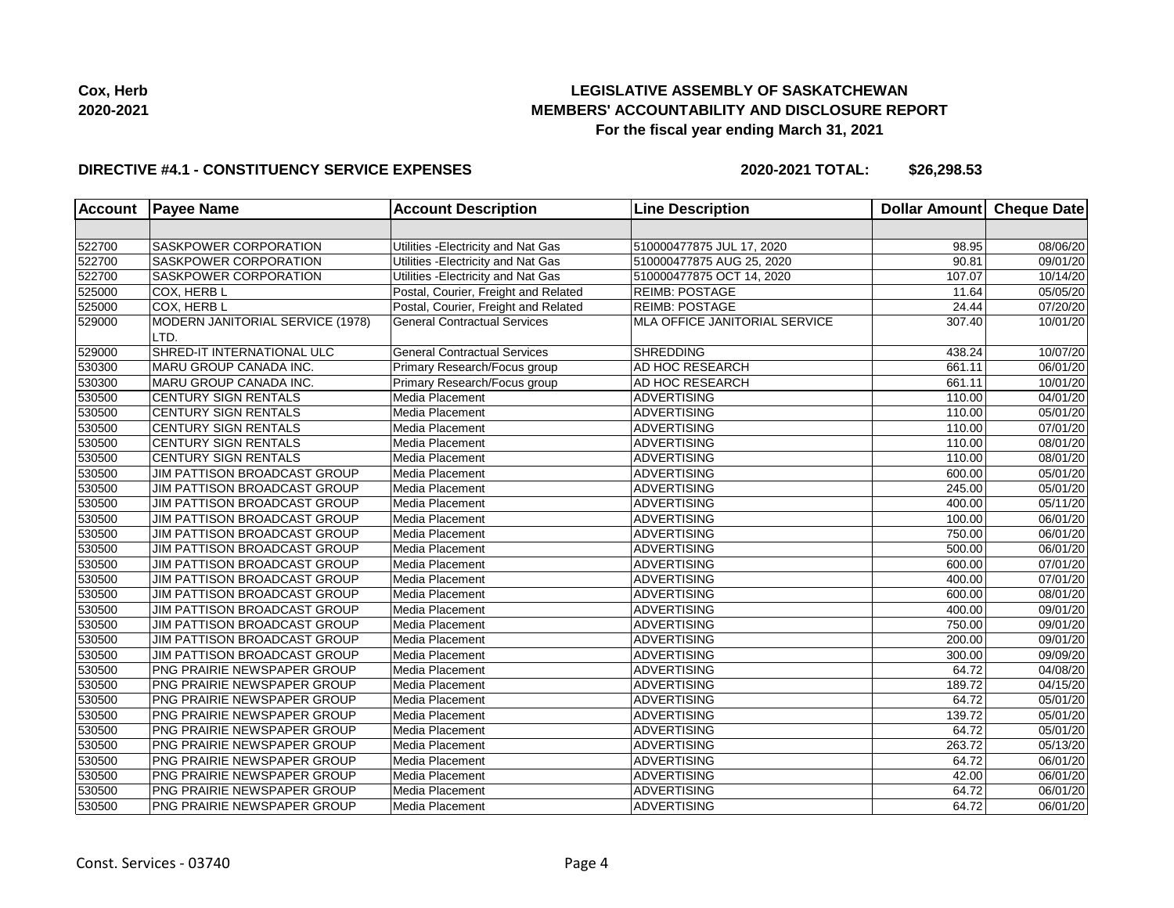

#### **DIRECTIVE #4.1 - CONSTITUENCY SERVICE EXPENSES**

**2020-2021 TOTAL: \$26,298.53**

| <b>Account</b> | <b>Payee Name</b>                        | <b>Account Description</b>           | <b>Line Description</b>       | <b>Dollar Amount</b> | <b>Cheque Date</b>    |
|----------------|------------------------------------------|--------------------------------------|-------------------------------|----------------------|-----------------------|
|                |                                          |                                      |                               |                      |                       |
| 522700         | <b>SASKPOWER CORPORATION</b>             | Utilities - Electricity and Nat Gas  | 510000477875 JUL 17, 2020     | 98.95                | 08/06/20              |
| 522700         | SASKPOWER CORPORATION                    | Utilities - Electricity and Nat Gas  | 510000477875 AUG 25, 2020     | 90.81                | 09/01/20              |
| 522700         | SASKPOWER CORPORATION                    | Utilities - Electricity and Nat Gas  | 510000477875 OCT 14, 2020     | 107.07               | 10/14/20              |
| 525000         | COX, HERB L                              | Postal, Courier, Freight and Related | <b>REIMB: POSTAGE</b>         | 11.64                | 05/05/20              |
| 525000         | COX, HERB L                              | Postal, Courier, Freight and Related | <b>REIMB: POSTAGE</b>         | 24.44                | 07/20/20              |
| 529000         | MODERN JANITORIAL SERVICE (1978)<br>LTD. | <b>General Contractual Services</b>  | MLA OFFICE JANITORIAL SERVICE | 307.40               | 10/01/20              |
| 529000         | SHRED-IT INTERNATIONAL ULC               | <b>General Contractual Services</b>  | <b>SHREDDING</b>              | 438.24               | 10/07/20              |
| 530300         | MARU GROUP CANADA INC.                   | Primary Research/Focus group         | AD HOC RESEARCH               | 661.11               | 06/01/20              |
| 530300         | MARU GROUP CANADA INC.                   | Primary Research/Focus group         | AD HOC RESEARCH               | 661.11               | 10/01/20              |
| 530500         | CENTURY SIGN RENTALS                     | Media Placement                      | <b>ADVERTISING</b>            | 110.00               | 04/01/20              |
| 530500         | <b>CENTURY SIGN RENTALS</b>              | Media Placement                      | <b>ADVERTISING</b>            | 110.00               | 05/01/20              |
| 530500         | CENTURY SIGN RENTALS                     | Media Placement                      | <b>ADVERTISING</b>            | 110.00               | 07/01/20              |
| 530500         | CENTURY SIGN RENTALS                     | Media Placement                      | <b>ADVERTISING</b>            | 110.00               | 08/01/20              |
| 530500         | CENTURY SIGN RENTALS                     | Media Placement                      | <b>ADVERTISING</b>            | 110.00               | 08/01/20              |
| 530500         | JIM PATTISON BROADCAST GROUP             | Media Placement                      | <b>ADVERTISING</b>            | 600.00               | 05/01/20              |
| 530500         | JIM PATTISON BROADCAST GROUP             | Media Placement                      | <b>ADVERTISING</b>            | 245.00               | 05/01/20              |
| 530500         | JIM PATTISON BROADCAST GROUP             | Media Placement                      | <b>ADVERTISING</b>            | 400.00               | 05/11/20              |
| 530500         | JIM PATTISON BROADCAST GROUP             | Media Placement                      | <b>ADVERTISING</b>            | 100.00               | 06/01/20              |
| 530500         | <b>JIM PATTISON BROADCAST GROUP</b>      | Media Placement                      | <b>ADVERTISING</b>            | 750.00               | 06/01/20              |
| 530500         | JIM PATTISON BROADCAST GROUP             | Media Placement                      | <b>ADVERTISING</b>            | 500.00               | 06/01/20              |
| 530500         | <b>JIM PATTISON BROADCAST GROUP</b>      | Media Placement                      | <b>ADVERTISING</b>            | 600.00               | 07/01/20              |
| 530500         | JIM PATTISON BROADCAST GROUP             | Media Placement                      | <b>ADVERTISING</b>            | 400.00               | 07/01/20              |
| 530500         | JIM PATTISON BROADCAST GROUP             | Media Placement                      | <b>ADVERTISING</b>            | 600.00               | 08/01/20              |
| 530500         | JIM PATTISON BROADCAST GROUP             | Media Placement                      | <b>ADVERTISING</b>            | 400.00               | 09/01/20              |
| 530500         | JIM PATTISON BROADCAST GROUP             | Media Placement                      | <b>ADVERTISING</b>            | 750.00               | 09/01/20              |
| 530500         | JIM PATTISON BROADCAST GROUP             | Media Placement                      | <b>ADVERTISING</b>            | 200.00               | 09/01/20              |
| 530500         | JIM PATTISON BROADCAST GROUP             | Media Placement                      | <b>ADVERTISING</b>            | 300.00               | 09/09/20              |
| 530500         | PNG PRAIRIE NEWSPAPER GROUP              | Media Placement                      | <b>ADVERTISING</b>            | 64.72                | 04/08/20              |
| 530500         | PNG PRAIRIE NEWSPAPER GROUP              | Media Placement                      | <b>ADVERTISING</b>            | 189.72               | 04/15/20              |
| 530500         | PNG PRAIRIE NEWSPAPER GROUP              | Media Placement                      | <b>ADVERTISING</b>            | 64.72                | $\overline{05}/01/20$ |
| 530500         | PNG PRAIRIE NEWSPAPER GROUP              | Media Placement                      | <b>ADVERTISING</b>            | 139.72               | 05/01/20              |
| 530500         | PNG PRAIRIE NEWSPAPER GROUP              | Media Placement                      | <b>ADVERTISING</b>            | 64.72                | 05/01/20              |
| 530500         | PNG PRAIRIE NEWSPAPER GROUP              | Media Placement                      | <b>ADVERTISING</b>            | 263.72               | 05/13/20              |
| 530500         | PNG PRAIRIE NEWSPAPER GROUP              | Media Placement                      | <b>ADVERTISING</b>            | 64.72                | 06/01/20              |
| 530500         | <b>PNG PRAIRIE NEWSPAPER GROUP</b>       | Media Placement                      | <b>ADVERTISING</b>            | 42.00                | 06/01/20              |
| 530500         | PNG PRAIRIE NEWSPAPER GROUP              | Media Placement                      | <b>ADVERTISING</b>            | 64.72                | 06/01/20              |
| 530500         | PNG PRAIRIE NEWSPAPER GROUP              | Media Placement                      | <b>ADVERTISING</b>            | 64.72                | 06/01/20              |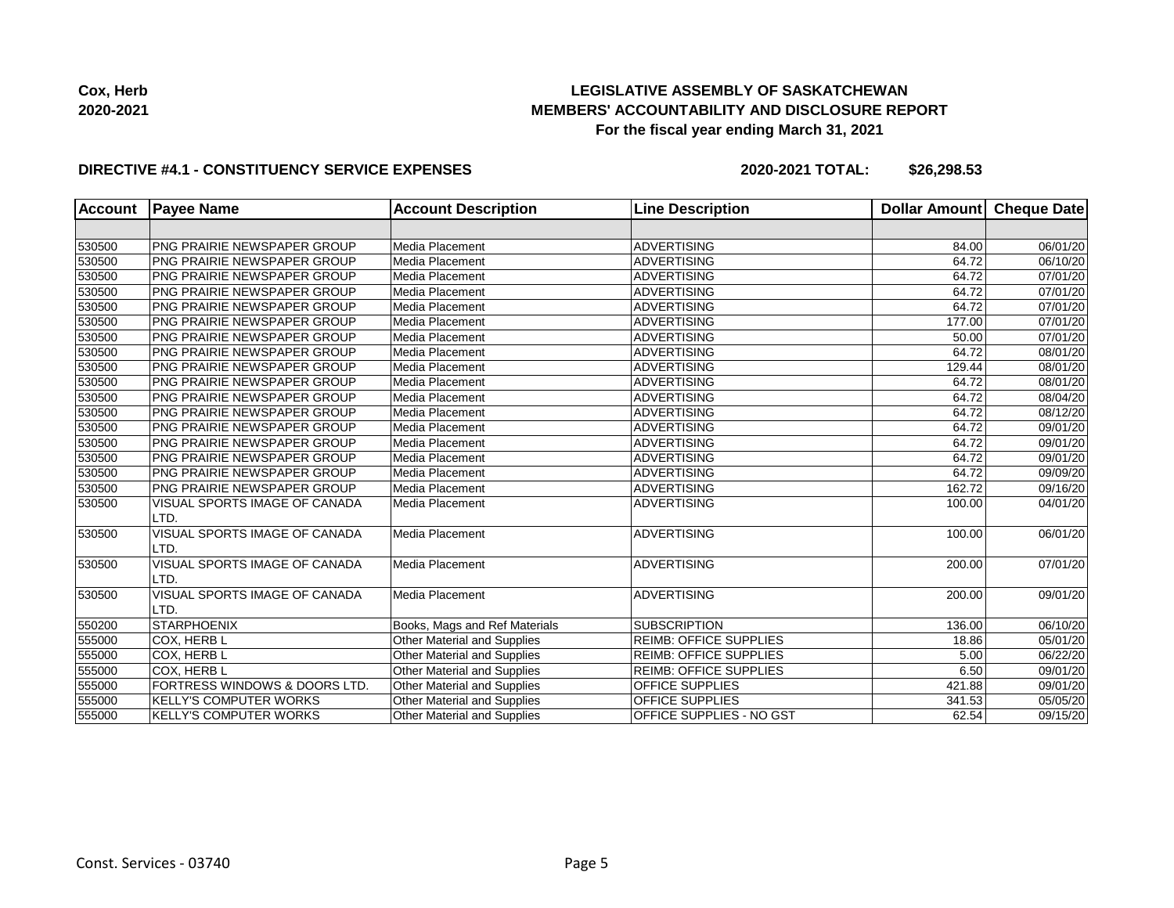

#### **DIRECTIVE #4.1 - CONSTITUENCY SERVICE EXPENSES**

**2020-2021 TOTAL: \$26,298.53**

| <b>Account</b> | <b>Payee Name</b>                     | <b>Account Description</b>         | <b>Line Description</b>       | Dollar Amount Cheque Date |                       |
|----------------|---------------------------------------|------------------------------------|-------------------------------|---------------------------|-----------------------|
|                |                                       |                                    |                               |                           |                       |
| 530500         | <b>PNG PRAIRIE NEWSPAPER GROUP</b>    | Media Placement                    | <b>ADVERTISING</b>            | 84.00                     | 06/01/20              |
| 530500         | PNG PRAIRIE NEWSPAPER GROUP           | Media Placement                    | <b>ADVERTISING</b>            | 64.72                     | 06/10/20              |
| 530500         | PNG PRAIRIE NEWSPAPER GROUP           | Media Placement                    | <b>ADVERTISING</b>            | 64.72                     | 07/01/20              |
| 530500         | PNG PRAIRIE NEWSPAPER GROUP           | Media Placement                    | <b>ADVERTISING</b>            | 64.72                     | $\overline{07}/01/20$ |
| 530500         | <b>PNG PRAIRIE NEWSPAPER GROUP</b>    | Media Placement                    | <b>ADVERTISING</b>            | 64.72                     | 07/01/20              |
| 530500         | PNG PRAIRIE NEWSPAPER GROUP           | Media Placement                    | <b>ADVERTISING</b>            | 177.00                    | 07/01/20              |
| 530500         | <b>PNG PRAIRIE NEWSPAPER GROUP</b>    | Media Placement                    | <b>ADVERTISING</b>            | 50.00                     | 07/01/20              |
| 530500         | PNG PRAIRIE NEWSPAPER GROUP           | Media Placement                    | <b>ADVERTISING</b>            | 64.72                     | 08/01/20              |
| 530500         | PNG PRAIRIE NEWSPAPER GROUP           | Media Placement                    | <b>ADVERTISING</b>            | 129.44                    | $\overline{08}/01/20$ |
| 530500         | PNG PRAIRIE NEWSPAPER GROUP           | Media Placement                    | <b>ADVERTISING</b>            | 64.72                     | 08/01/20              |
| 530500         | PNG PRAIRIE NEWSPAPER GROUP           | Media Placement                    | <b>ADVERTISING</b>            | 64.72                     | 08/04/20              |
| 530500         | <b>PNG PRAIRIE NEWSPAPER GROUP</b>    | Media Placement                    | <b>ADVERTISING</b>            | 64.72                     | 08/12/20              |
| 530500         | PNG PRAIRIE NEWSPAPER GROUP           | Media Placement                    | <b>ADVERTISING</b>            | 64.72                     | 09/01/20              |
| 530500         | PNG PRAIRIE NEWSPAPER GROUP           | Media Placement                    | <b>ADVERTISING</b>            | 64.72                     | 09/01/20              |
| 530500         | PNG PRAIRIE NEWSPAPER GROUP           | Media Placement                    | <b>ADVERTISING</b>            | 64.72                     | 09/01/20              |
| 530500         | PNG PRAIRIE NEWSPAPER GROUP           | Media Placement                    | <b>ADVERTISING</b>            | 64.72                     | 09/09/20              |
| 530500         | PNG PRAIRIE NEWSPAPER GROUP           | Media Placement                    | <b>ADVERTISING</b>            | 162.72                    | 09/16/20              |
| 530500         | VISUAL SPORTS IMAGE OF CANADA<br>LTD. | Media Placement                    | <b>ADVERTISING</b>            | 100.00                    | 04/01/20              |
| 530500         | VISUAL SPORTS IMAGE OF CANADA<br>LTD. | <b>Media Placement</b>             | <b>ADVERTISING</b>            | 100.00                    | 06/01/20              |
| 530500         | VISUAL SPORTS IMAGE OF CANADA<br>LTD. | Media Placement                    | <b>ADVERTISING</b>            | 200.00                    | 07/01/20              |
| 530500         | VISUAL SPORTS IMAGE OF CANADA<br>LTD. | Media Placement                    | <b>ADVERTISING</b>            | 200.00                    | 09/01/20              |
| 550200         | <b>STARPHOENIX</b>                    | Books, Mags and Ref Materials      | <b>SUBSCRIPTION</b>           | 136.00                    | 06/10/20              |
| 555000         | COX, HERB L                           | Other Material and Supplies        | <b>REIMB: OFFICE SUPPLIES</b> | 18.86                     | 05/01/20              |
| 555000         | COX, HERB L                           | Other Material and Supplies        | <b>REIMB: OFFICE SUPPLIES</b> | 5.00                      | 06/22/20              |
| 555000         | COX, HERB L                           | Other Material and Supplies        | <b>REIMB: OFFICE SUPPLIES</b> | 6.50                      | 09/01/20              |
| 555000         | FORTRESS WINDOWS & DOORS LTD.         | Other Material and Supplies        | OFFICE SUPPLIES               | 421.88                    | 09/01/20              |
| 555000         | <b>KELLY'S COMPUTER WORKS</b>         | Other Material and Supplies        | OFFICE SUPPLIES               | 341.53                    | 05/05/20              |
| 555000         | <b>KELLY'S COMPUTER WORKS</b>         | <b>Other Material and Supplies</b> | OFFICE SUPPLIES - NO GST      | 62.54                     | 09/15/20              |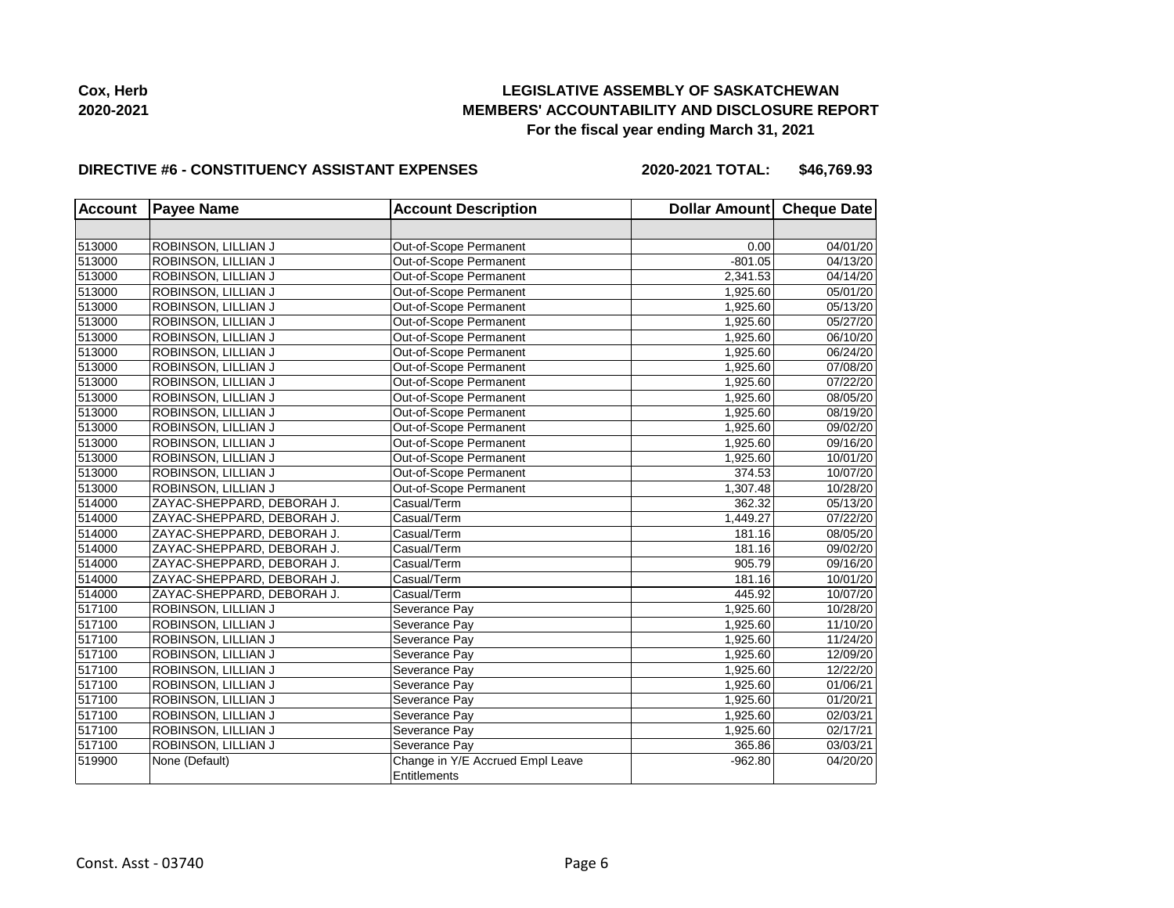

#### **DIRECTIVE #6 - CONSTITUENCY ASSISTANT EXPENSES**

**2020-2021 TOTAL: \$46,769.93**

| <b>Account</b> | <b>Payee Name</b>          | <b>Account Description</b>       | Dollar Amount Cheque Date |          |
|----------------|----------------------------|----------------------------------|---------------------------|----------|
|                |                            |                                  |                           |          |
| 513000         | ROBINSON, LILLIAN J        | Out-of-Scope Permanent           | 0.00                      | 04/01/20 |
| 513000         | ROBINSON, LILLIAN J        | Out-of-Scope Permanent           | $-801.05$                 | 04/13/20 |
| 513000         | ROBINSON, LILLIAN J        | Out-of-Scope Permanent           | 2,341.53                  | 04/14/20 |
| 513000         | ROBINSON, LILLIAN J        | Out-of-Scope Permanent           | 1,925.60                  | 05/01/20 |
| 513000         | ROBINSON, LILLIAN J        | Out-of-Scope Permanent           | 1,925.60                  | 05/13/20 |
| 513000         | ROBINSON, LILLIAN J        | Out-of-Scope Permanent           | 1,925.60                  | 05/27/20 |
| 513000         | ROBINSON, LILLIAN J        | Out-of-Scope Permanent           | 1,925.60                  | 06/10/20 |
| 513000         | ROBINSON, LILLIAN J        | Out-of-Scope Permanent           | 1,925.60                  | 06/24/20 |
| 513000         | ROBINSON, LILLIAN J        | Out-of-Scope Permanent           | 1,925.60                  | 07/08/20 |
| 513000         | ROBINSON, LILLIAN J        | Out-of-Scope Permanent           | 1,925.60                  | 07/22/20 |
| 513000         | ROBINSON, LILLIAN J        | Out-of-Scope Permanent           | 1,925.60                  | 08/05/20 |
| 513000         | ROBINSON, LILLIAN J        | Out-of-Scope Permanent           | 1,925.60                  | 08/19/20 |
| 513000         | ROBINSON, LILLIAN J        | Out-of-Scope Permanent           | 1,925.60                  | 09/02/20 |
| 513000         | ROBINSON, LILLIAN J        | Out-of-Scope Permanent           | 1,925.60                  | 09/16/20 |
| 513000         | ROBINSON, LILLIAN J        | Out-of-Scope Permanent           | 1,925.60                  | 10/01/20 |
| 513000         | ROBINSON, LILLIAN J        | Out-of-Scope Permanent           | 374.53                    | 10/07/20 |
| 513000         | ROBINSON, LILLIAN J        | Out-of-Scope Permanent           | 1,307.48                  | 10/28/20 |
| 514000         | ZAYAC-SHEPPARD, DEBORAH J. | Casual/Term                      | 362.32                    | 05/13/20 |
| 514000         | ZAYAC-SHEPPARD, DEBORAH J. | Casual/Term                      | 1,449.27                  | 07/22/20 |
| 514000         | ZAYAC-SHEPPARD, DEBORAH J. | Casual/Term                      | 181.16                    | 08/05/20 |
| 514000         | ZAYAC-SHEPPARD, DEBORAH J. | Casual/Term                      | 181.16                    | 09/02/20 |
| 514000         | ZAYAC-SHEPPARD, DEBORAH J. | Casual/Term                      | 905.79                    | 09/16/20 |
| 514000         | ZAYAC-SHEPPARD, DEBORAH J. | Casual/Term                      | 181.16                    | 10/01/20 |
| 514000         | ZAYAC-SHEPPARD, DEBORAH J. | Casual/Term                      | 445.92                    | 10/07/20 |
| 517100         | ROBINSON, LILLIAN J        | Severance Pay                    | 1,925.60                  | 10/28/20 |
| 517100         | ROBINSON, LILLIAN J        | Severance Pay                    | 1,925.60                  | 11/10/20 |
| 517100         | ROBINSON, LILLIAN J        | Severance Pay                    | 1,925.60                  | 11/24/20 |
| 517100         | ROBINSON, LILLIAN J        | Severance Pay                    | 1,925.60                  | 12/09/20 |
| 517100         | ROBINSON, LILLIAN J        | Severance Pay                    | 1,925.60                  | 12/22/20 |
| 517100         | ROBINSON, LILLIAN J        | Severance Pay                    | 1,925.60                  | 01/06/21 |
| 517100         | ROBINSON, LILLIAN J        | Severance Pay                    | 1,925.60                  | 01/20/21 |
| 517100         | ROBINSON, LILLIAN J        | Severance Pay                    | 1,925.60                  | 02/03/21 |
| 517100         | ROBINSON, LILLIAN J        | Severance Pay                    | 1,925.60                  | 02/17/21 |
| 517100         | ROBINSON, LILLIAN J        | Severance Pay                    | 365.86                    | 03/03/21 |
| 519900         | None (Default)             | Change in Y/E Accrued Empl Leave | $-962.80$                 | 04/20/20 |
|                |                            | Entitlements                     |                           |          |